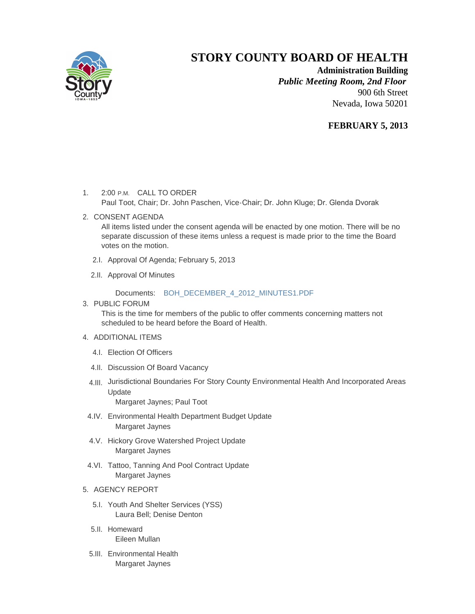

## **STORY COUNTY BOARD OF HEALTH**

**Administration Building** *Public Meeting Room, 2nd Floor* 900 6th Street Nevada, Iowa 50201

## **FEBRUARY 5, 2013**

- 1. 2:00 P.M. CALL TO ORDER Paul Toot, Chair; Dr. John Paschen, Vice-Chair; Dr. John Kluge; Dr. Glenda Dvorak
- 2. CONSENT AGENDA

All items listed under the consent agenda will be enacted by one motion. There will be no separate discussion of these items unless a request is made prior to the time the Board votes on the motion.

- 2.I. Approval Of Agenda; February 5, 2013
- 2.II. Approval Of Minutes

Documents: [BOH\\_DECEMBER\\_4\\_2012\\_MINUTES1.PDF](http://www.storycountyiowa.gov/Files/AgendaCenter/Items/1373/BOH_DECEMBER_4_2012_MINUTES1_201301151149458957.pdf)

3. PUBLIC FORUM

This is the time for members of the public to offer comments concerning matters not scheduled to be heard before the Board of Health.

- 4. ADDITIONAL ITEMS
	- Election Of Officers 4.I.
	- 4.II. Discussion Of Board Vacancy
	- 4.III. Jurisdictional Boundaries For Story County Environmental Health And Incorporated Areas Update

Margaret Jaynes; Paul Toot

- 4.IV. Environmental Health Department Budget Update Margaret Jaynes
- 4.V. Hickory Grove Watershed Project Update Margaret Jaynes
- 4.VI. Tattoo, Tanning And Pool Contract Update Margaret Jaynes

## 5. AGENCY REPORT

- 5.I. Youth And Shelter Services (YSS) Laura Bell; Denise Denton
- 5.II. Homeward Eileen Mullan
- 5.III. Environmental Health Margaret Jaynes